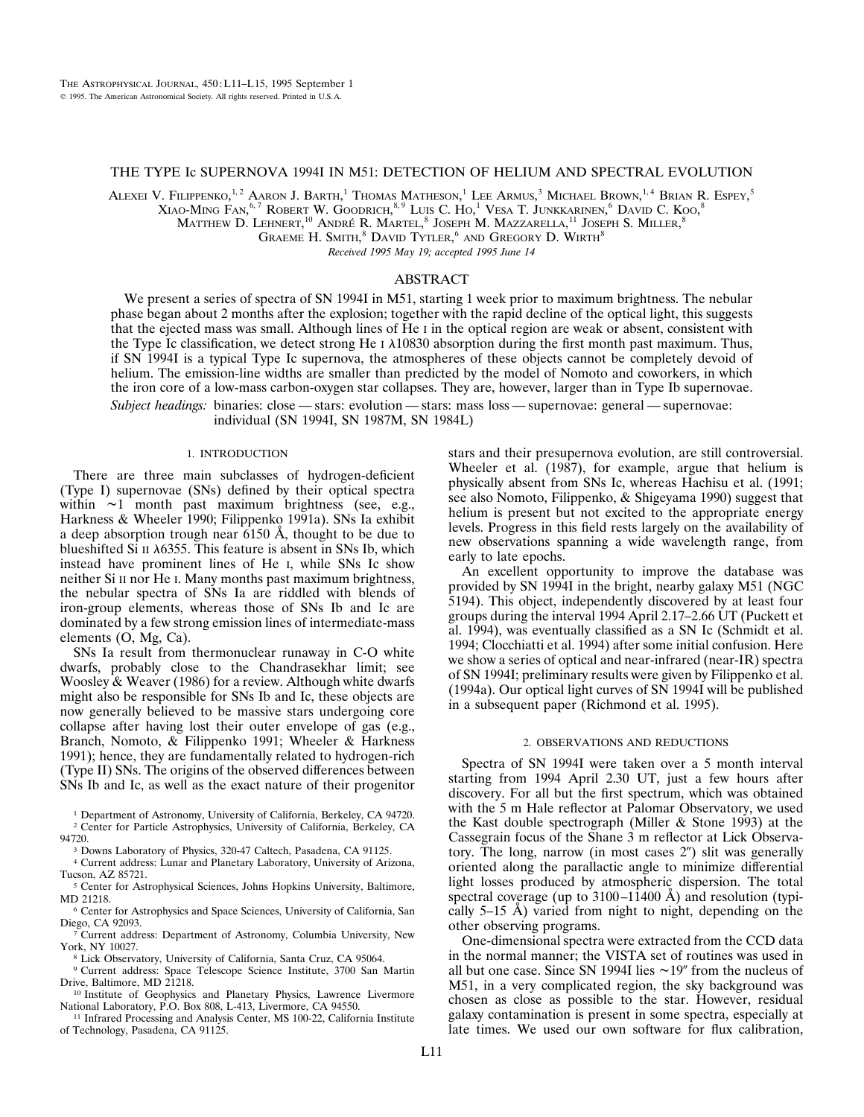## THE TYPE Ic SUPERNOVA 1994I IN M51: DETECTION OF HELIUM AND SPECTRAL EVOLUTION

Alexei V. Filippenko, $^{1,2}$  Aaron J. Barth, $^1$  Thomas Matheson, $^1$  Lee Armus, $^3$  Michael Brown, $^{1,4}$  Brian R. Espey, $^5$ 

Xiao-Ming Fan, $^{6,7}$  Robert W. Goodrich, $^{8,9}$  Luis C. Ho, $^1$  Vesa T. Junkkarinen, $^6$  David C. Koo, $^8$ 

Matthew D. Lehnert, $^{\rm 10}$  André R. Martel, $^{\rm 8}$  Joseph M. Mazzarella, $^{\rm 11}$  Joseph S. Miller, $^{\rm 8}$ 

Graeme H. Smith, $^8$  David Tytler, $^6$  and Gregory D. Wirth $^8$ 

*Received 1995 May 19; accepted 1995 June 14*

# ABSTRACT

We present a series of spectra of SN 1994I in M51, starting 1 week prior to maximum brightness. The nebular phase began about 2 months after the explosion; together with the rapid decline of the optical light, this suggests that the ejected mass was small. Although lines of He I in the optical region are weak or absent, consistent with the Type Ic classification, we detect strong He I  $\lambda$ 10830 absorption during the first month past maximum. Thus, if SN 1994I is a typical Type Ic supernova, the atmospheres of these objects cannot be completely devoid of helium. The emission-line widths are smaller than predicted by the model of Nomoto and coworkers, in which the iron core of a low-mass carbon-oxygen star collapses. They are, however, larger than in Type Ib supernovae.

*Subject headings:* binaries: close — stars: evolution — stars: mass loss — supernovae: general — supernovae: individual (SN 1994I, SN 1987M, SN 1984L)

## 1. INTRODUCTION

There are three main subclasses of hydrogen-deficient (Type I) supernovae (SNs) defined by their optical spectra within  $\sim$ 1 month past maximum brightness (see, e.g., Harkness & Wheeler 1990; Filippenko 1991a). SNs Ia exhibit a deep absorption trough near 6150 Å, thought to be due to blueshifted Si  $\text{II}$   $\lambda$ 6355. This feature is absent in SNs Ib, which instead have prominent lines of He I, while SNs Ic show neither Si II nor He I. Many months past maximum brightness, the nebular spectra of SNs Ia are riddled with blends of iron-group elements, whereas those of SNs Ib and Ic are dominated by a few strong emission lines of intermediate-mass elements (O, Mg, Ca).

SNs Ia result from thermonuclear runaway in C-O white dwarfs, probably close to the Chandrasekhar limit; see Woosley & Weaver (1986) for a review. Although white dwarfs might also be responsible for SNs Ib and Ic, these objects are now generally believed to be massive stars undergoing core collapse after having lost their outer envelope of gas (e.g., Branch, Nomoto, & Filippenko 1991; Wheeler & Harkness 1991); hence, they are fundamentally related to hydrogen-rich (Type II) SNs. The origins of the observed differences between SNs Ib and Ic, as well as the exact nature of their progenitor

<sup>1</sup> Department of Astronomy, University of California, Berkeley, CA 94720. <sup>2</sup> Center for Particle Astrophysics, University of California, Berkeley, CA 94720.

<sup>3</sup> Downs Laboratory of Physics, 320-47 Caltech, Pasadena, CA 91125.

<sup>4</sup> Current address: Lunar and Planetary Laboratory, University of Arizona, Tucson, AZ 85721.

<sup>5</sup> Center for Astrophysical Sciences, Johns Hopkins University, Baltimore, MD 21218.

<sup>6</sup> Center for Astrophysics and Space Sciences, University of California, San Diego, CA 92093.

 $\overline{7}$  Current address: Department of Astronomy, Columbia University, New York, NY 10027.

Lick Observatory, University of California, Santa Cruz, CA 95064.

<sup>9</sup> Current address: Space Telescope Science Institute, 3700 San Martin Drive, Baltimore, MD 21218.

<sup>10</sup> Institute of Geophysics and Planetary Physics, Lawrence Livermore National Laboratory, P.O. Box 808, L-413, Livermore, CA 94550.

<sup>11</sup> Infrared Processing and Analysis Center, MS 100-22, California Institute of Technology, Pasadena, CA 91125.

stars and their presupernova evolution, are still controversial. Wheeler et al. (1987), for example, argue that helium is physically absent from SNs Ic, whereas Hachisu et al. (1991; see also Nomoto, Filippenko, & Shigeyama 1990) suggest that helium is present but not excited to the appropriate energy levels. Progress in this field rests largely on the availability of new observations spanning a wide wavelength range, from early to late epochs.

An excellent opportunity to improve the database was provided by SN 1994I in the bright, nearby galaxy M51 (NGC 5194). This object, independently discovered by at least four groups during the interval 1994 April 2.17–2.66 UT (Puckett et al. 1994), was eventually classified as a SN Ic (Schmidt et al. 1994; Clocchiatti et al. 1994) after some initial confusion. Here we show a series of optical and near-infrared (near-IR) spectra of SN 1994I; preliminary results were given by Filippenko et al. (1994a). Our optical light curves of SN 1994I will be published in a subsequent paper (Richmond et al. 1995).

#### 2. OBSERVATIONS AND REDUCTIONS

Spectra of SN 1994I were taken over a 5 month interval starting from 1994 April 2.30 UT, just a few hours after discovery. For all but the first spectrum, which was obtained with the 5 m Hale reflector at Palomar Observatory, we used the Kast double spectrograph (Miller & Stone 1993) at the Cassegrain focus of the Shane 3 m reflector at Lick Observatory. The long, narrow (in most cases  $2$ ") slit was generally oriented along the parallactic angle to minimize differential light losses produced by atmospheric dispersion. The total spectral coverage (up to  $3100-11400$  Å) and resolution (typically 5–15 Å) varied from night to night, depending on the other observing programs.

One-dimensional spectra were extracted from the CCD data in the normal manner; the VISTA set of routines was used in all but one case. Since SN 1994I lies  $\sim$ 19" from the nucleus of M51, in a very complicated region, the sky background was chosen as close as possible to the star. However, residual galaxy contamination is present in some spectra, especially at late times. We used our own software for flux calibration,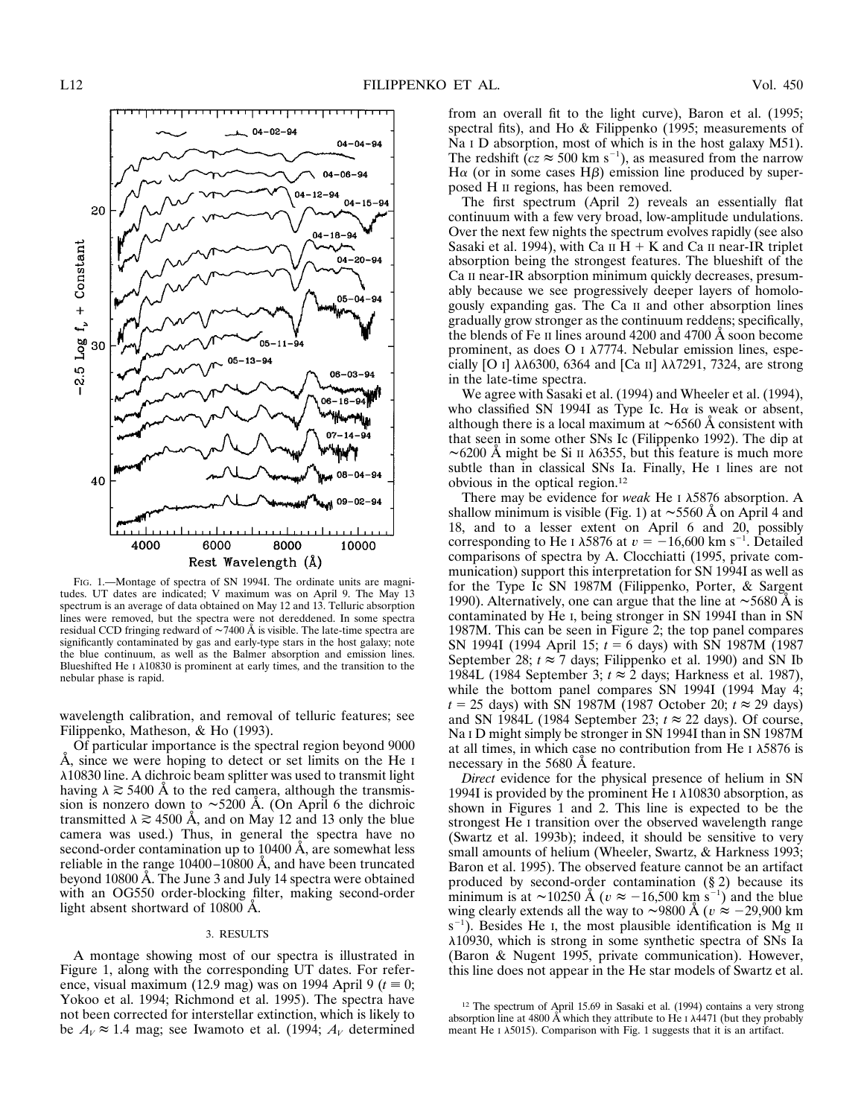

FIG. 1.—Montage of spectra of SN 1994I. The ordinate units are magnitudes. UT dates are indicated; V maximum was on April 9. The May 13 spectrum is an average of data obtained on May 12 and 13. Telluric absorption lines were removed, but the spectra were not dereddened. In some spectra residual CCD fringing redward of  $\sim$ 7400 Å is visible. The late-time spectra are significantly contaminated by gas and early-type stars in the host galaxy; note the blue continuum, as well as the Balmer absorption and emission lines. Blueshifted He  $I$   $\lambda$ 10830 is prominent at early times, and the transition to the nebular phase is rapid.

wavelength calibration, and removal of telluric features; see Filippenko, Matheson, & Ho (1993).

Of particular importance is the spectral region beyond 9000 Å, since we were hoping to detect or set limits on the He I  $\lambda$ 10830 line. A dichroic beam splitter was used to transmit light having  $\lambda \gtrsim 5400$  Å to the red camera, although the transmission is nonzero down to  $\sim$ 5200 Å. (On April 6 the dichroic transmitted  $\lambda \gtrsim 4500$  Å, and on May 12 and 13 only the blue camera was used.) Thus, in general the spectra have no second-order contamination up to 10400 Å, are somewhat less reliable in the range  $10400 - 10800$  Å, and have been truncated beyond 10800 Å. The June 3 and July 14 spectra were obtained with an OG550 order-blocking filter, making second-order light absent shortward of 10800 Å.

#### 3. RESULTS

A montage showing most of our spectra is illustrated in Figure 1, along with the corresponding UT dates. For reference, visual maximum (12.9 mag) was on 1994 April 9 ( $t \equiv 0$ ; Yokoo et al. 1994; Richmond et al. 1995). The spectra have not been corrected for interstellar extinction, which is likely to be  $A_V \approx 1.4$  mag; see Iwamoto et al. (1994;  $A_V$  determined from an overall fit to the light curve), Baron et al. (1995; spectral fits), and Ho & Filippenko (1995; measurements of Na I D absorption, most of which is in the host galaxy M51). The redshift  $(cz \approx 500 \text{ km s}^{-1})$ , as measured from the narrow Hα (or in some cases Hβ) emission line produced by superposed H II regions, has been removed.

The first spectrum (April 2) reveals an essentially flat continuum with a few very broad, low-amplitude undulations. Over the next few nights the spectrum evolves rapidly (see also Sasaki et al. 1994), with Ca  $II + K$  and Ca II near-IR triplet absorption being the strongest features. The blueshift of the Ca II near-IR absorption minimum quickly decreases, presumably because we see progressively deeper layers of homologously expanding gas. The Ca II and other absorption lines gradually grow stronger as the continuum reddens; specifically, the blends of Fe II lines around 4200 and 4700 Å soon become prominent, as does O I  $\lambda$ 7774. Nebular emission lines, especially [O I]  $\lambda\lambda$ 6300, 6364 and [Ca II]  $\lambda\lambda$ 7291, 7324, are strong in the late-time spectra.

We agree with Sasaki et al. (1994) and Wheeler et al. (1994), who classified SN 1994I as Type Ic. H $\alpha$  is weak or absent, although there is a local maximum at  $\sim 6560$  Å consistent with that seen in some other SNs Ic (Filippenko 1992). The dip at  $\sim$  6200 Å might be Si II  $\lambda$ 6355, but this feature is much more subtle than in classical SNs Ia. Finally, He I lines are not obvious in the optical region.12

There may be evidence for *weak* He I  $\lambda$ 5876 absorption. A shallow minimum is visible (Fig. 1) at  $\sim$  5560 Å on April 4 and 18, and to a lesser extent on April 6 and 20, possibly corresponding to He I  $\lambda$ 5876 at  $v = -16,600$  km s<sup>-1</sup>. Detailed comparisons of spectra by A. Clocchiatti (1995, private communication) support this interpretation for SN 1994I as well as for the Type Ic SN 1987M (Filippenko, Porter, & Sargent 1990). Alternatively, one can argue that the line at  $\sim$  5680 Å is contaminated by He I, being stronger in SN 1994I than in SN 1987M. This can be seen in Figure 2; the top panel compares SN 1994I (1994 April 15;  $t = 6$  days) with SN 1987M (1987 September 28;  $t \approx 7$  days; Filippenko et al. 1990) and SN Ib 1984L (1984 September 3;  $t \approx 2$  days; Harkness et al. 1987), while the bottom panel compares SN 1994I (1994 May 4;  $t = 25$  days) with SN 1987M (1987 October 20;  $t \approx 29$  days) and SN 1984L (1984 September 23;  $t \approx 22$  days). Of course, Na I D might simply be stronger in SN 1994I than in SN 1987M at all times, in which case no contribution from He I  $\lambda$ 5876 is necessary in the 5680 Å feature.

*Direct* evidence for the physical presence of helium in SN 1994I is provided by the prominent He  $I \lambda$ 10830 absorption, as shown in Figures 1 and 2. This line is expected to be the strongest He I transition over the observed wavelength range (Swartz et al. 1993b); indeed, it should be sensitive to very small amounts of helium (Wheeler, Swartz, & Harkness 1993; Baron et al. 1995). The observed feature cannot be an artifact produced by second-order contamination (§ 2) because its minimum is at ~10250 Å ( $v \approx -16,500$  km s<sup>-1</sup>) and the blue wing clearly extends all the way to  $\sim$ 9800 Å ( $v \approx -29,900$  km  $s^{-1}$ ). Besides He I, the most plausible identification is Mg II  $\lambda$ 10930, which is strong in some synthetic spectra of SNs Ia (Baron & Nugent 1995, private communication). However, this line does not appear in the He star models of Swartz et al.

<sup>12</sup> The spectrum of April 15.69 in Sasaki et al. (1994) contains a very strong absorption line at 4800 Å which they attribute to He I  $\lambda$ 4471 (but they probably meant He  $\scriptstyle\rm I$   $\lambda 5015$ ). Comparison with Fig. 1 suggests that it is an artifact.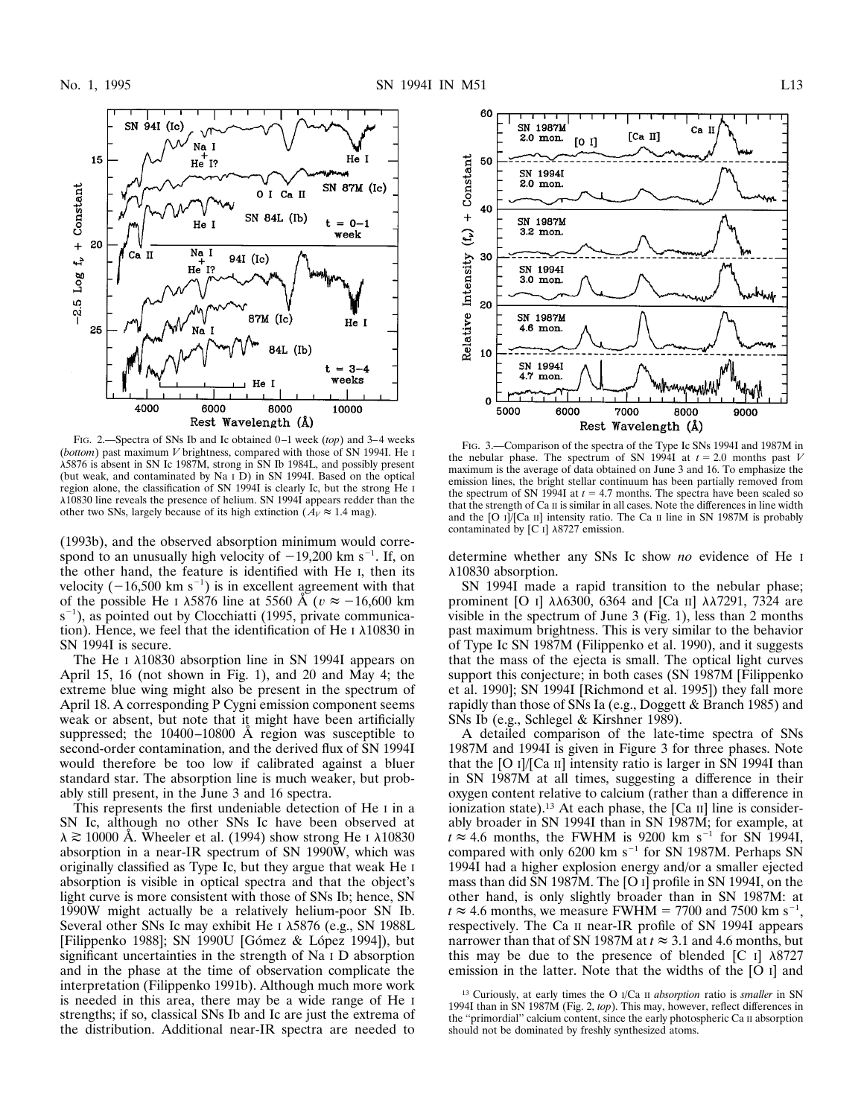

FIG. 2.-Spectra of SNs Ib and Ic obtained 0-1 week (*top*) and 3-4 weeks (*bottom*) past maximum *V* brightness, compared with those of SN 1994I. He I <sup>l</sup>5876 is absent in SN Ic 1987M, strong in SN Ib 1984L, and possibly present (but weak, and contaminated by Na I D) in SN 1994I. Based on the optical region alone, the classification of SN 1994I is clearly Ic, but the strong He I  $\lambda$ 10830 line reveals the presence of helium. SN 1994I appears redder than the other two SNs, largely because of its high extinction ( $A_V \approx 1.4$  mag).

(1993b), and the observed absorption minimum would correspond to an unusually high velocity of  $-19,200$  km s<sup>-1</sup>. If, on the other hand, the feature is identified with He I, then its velocity  $(-16,500 \text{ km s}^{-1})$  is in excellent agreement with that of the possible He I  $\lambda$ 5876 line at 5560 Å ( $v \approx -16,600$  km  $s^{-1}$ ), as pointed out by Clocchiatti (1995, private communication). Hence, we feel that the identification of He  $\scriptstyle I$   $\lambda$ 10830 in SN 1994I is secure.

The He I  $\lambda$ 10830 absorption line in SN 1994I appears on April 15, 16 (not shown in Fig. 1), and 20 and May 4; the extreme blue wing might also be present in the spectrum of April 18. A corresponding P Cygni emission component seems weak or absent, but note that it might have been artificially suppressed; the  $10400 - 10800$  Å region was susceptible to second-order contamination, and the derived flux of SN 1994I would therefore be too low if calibrated against a bluer standard star. The absorption line is much weaker, but probably still present, in the June 3 and 16 spectra.

This represents the first undeniable detection of He I in a SN Ic, although no other SNs Ic have been observed at  $\lambda \gtrsim 10000$  Å. Wheeler et al. (1994) show strong He I  $\lambda$ 10830 absorption in a near-IR spectrum of SN 1990W, which was originally classified as Type Ic, but they argue that weak He I absorption is visible in optical spectra and that the object's light curve is more consistent with those of SNs Ib; hence, SN 1990W might actually be a relatively helium-poor SN Ib. Several other SNs Ic may exhibit He I  $\lambda$ 5876 (e.g., SN 1988L) [Filippenko 1988]; SN 1990U [Gómez & López 1994]), but significant uncertainties in the strength of Na I D absorption and in the phase at the time of observation complicate the interpretation (Filippenko 1991b). Although much more work is needed in this area, there may be a wide range of He I strengths; if so, classical SNs Ib and Ic are just the extrema of the distribution. Additional near-IR spectra are needed to



FIG. 3.—Comparison of the spectra of the Type Ic SNs 1994I and 1987M in the nebular phase. The spectrum of SN 1994I at  $t = 2.0$  months past *V* maximum is the average of data obtained on June 3 and 16. To emphasize the emission lines, the bright stellar continuum has been partially removed from the spectrum of SN 1994I at  $t = 4.7$  months. The spectra have been scaled so that the strength of Ca II is similar in all cases. Note the differences in line width and the [O  $I$ ]/[Ca II] intensity ratio. The Ca II line in SN 1987M is probably contaminated by [C  $I$ ]  $\lambda$ 8727 emission.

determine whether any SNs Ic show *no* evidence of He I  $\lambda$ 10830 absorption.

SN 1994I made a rapid transition to the nebular phase; prominent [O I]  $\lambda\lambda$ 6300, 6364 and [Ca II]  $\lambda\lambda$ 7291, 7324 are visible in the spectrum of June 3 (Fig. 1), less than 2 months past maximum brightness. This is very similar to the behavior of Type Ic SN 1987M (Filippenko et al. 1990), and it suggests that the mass of the ejecta is small. The optical light curves support this conjecture; in both cases (SN 1987M [Filippenko et al. 1990]; SN 1994I [Richmond et al. 1995]) they fall more rapidly than those of SNs Ia (e.g., Doggett & Branch 1985) and SNs Ib (e.g., Schlegel & Kirshner 1989).

A detailed comparison of the late-time spectra of SNs 1987M and 1994I is given in Figure 3 for three phases. Note that the [O I]/[Ca II] intensity ratio is larger in SN 1994I than in SN 1987M at all times, suggesting a difference in their oxygen content relative to calcium (rather than a difference in ionization state).13 At each phase, the [Ca II] line is considerably broader in SN 1994I than in SN 1987M; for example, at  $t \approx 4.6$  months, the FWHM is 9200 km s<sup>-1</sup> for SN 1994I, compared with only 6200 km  $s^{-1}$  for SN 1987M. Perhaps SN 1994I had a higher explosion energy and/or a smaller ejected mass than did SN 1987M. The [O I] profile in SN 1994I, on the other hand, is only slightly broader than in SN 1987M: at  $t \approx 4.6$  months, we measure FWHM = 7700 and 7500 km s<sup>-1</sup>, respectively. The Ca II near-IR profile of SN 1994I appears narrower than that of SN 1987M at  $t \approx 3.1$  and 4.6 months, but this may be due to the presence of blended [C I]  $\lambda$ 8727 emission in the latter. Note that the widths of the [O I] and

<sup>13</sup> Curiously, at early times the O I/Ca II *absorption* ratio is *smaller* in SN 1994I than in SN 1987M (Fig. 2, *top*). This may, however, reflect differences in the ''primordial'' calcium content, since the early photospheric Ca II absorption should not be dominated by freshly synthesized atoms.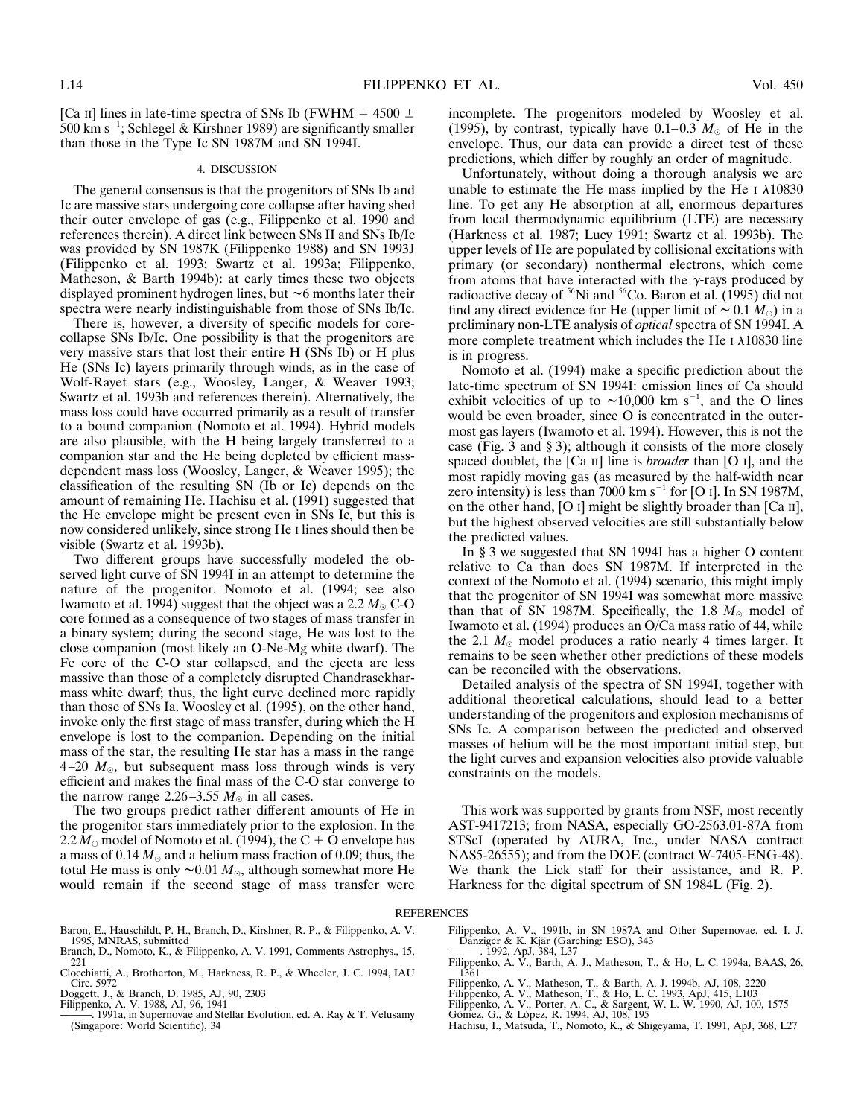[Ca II] lines in late-time spectra of SNs Ib (FWHM =  $4500 \pm$ 500 km s<sup>-1</sup>; Schlegel & Kirshner 1989) are significantly smaller than those in the Type Ic SN 1987M and SN 1994I.

## 4. DISCUSSION

The general consensus is that the progenitors of SNs Ib and Ic are massive stars undergoing core collapse after having shed their outer envelope of gas (e.g., Filippenko et al. 1990 and references therein). A direct link between SNs II and SNs Ib/Ic was provided by SN 1987K (Filippenko 1988) and SN 1993J (Filippenko et al. 1993; Swartz et al. 1993a; Filippenko, Matheson, & Barth 1994b): at early times these two objects displayed prominent hydrogen lines, but  $\sim$  6 months later their spectra were nearly indistinguishable from those of SNs Ib/Ic.

There is, however, a diversity of specific models for corecollapse SNs Ib/Ic. One possibility is that the progenitors are very massive stars that lost their entire H (SNs Ib) or H plus He (SNs Ic) layers primarily through winds, as in the case of Wolf-Rayet stars (e.g., Woosley, Langer, & Weaver 1993; Swartz et al. 1993b and references therein). Alternatively, the mass loss could have occurred primarily as a result of transfer to a bound companion (Nomoto et al. 1994). Hybrid models are also plausible, with the H being largely transferred to a companion star and the He being depleted by efficient massdependent mass loss (Woosley, Langer, & Weaver 1995); the classification of the resulting SN (Ib or Ic) depends on the amount of remaining He. Hachisu et al. (1991) suggested that the He envelope might be present even in SNs Ic, but this is now considered unlikely, since strong He I lines should then be visible (Swartz et al. 1993b).

Two different groups have successfully modeled the observed light curve of SN 1994I in an attempt to determine the nature of the progenitor. Nomoto et al. (1994; see also Iwamoto et al. 1994) suggest that the object was a  $2.2 M_{\odot}$  C-O core formed as a consequence of two stages of mass transfer in a binary system; during the second stage, He was lost to the close companion (most likely an O-Ne-Mg white dwarf). The Fe core of the C-O star collapsed, and the ejecta are less massive than those of a completely disrupted Chandrasekharmass white dwarf; thus, the light curve declined more rapidly than those of SNs Ia. Woosley et al. (1995), on the other hand, invoke only the first stage of mass transfer, during which the H envelope is lost to the companion. Depending on the initial mass of the star, the resulting He star has a mass in the range  $4-20$   $M_{\odot}$ , but subsequent mass loss through winds is very efficient and makes the final mass of the C-O star converge to the narrow range 2.26–3.55  $M_{\odot}$  in all cases.

The two groups predict rather different amounts of He in the progenitor stars immediately prior to the explosion. In the 2.2  $M_{\odot}$  model of Nomoto et al. (1994), the C + O envelope has a mass of  $0.14 M_{\odot}$  and a helium mass fraction of 0.09; thus, the total He mass is only  $\sim 0.01 M_{\odot}$ , although somewhat more He would remain if the second stage of mass transfer were

incomplete. The progenitors modeled by Woosley et al. (1995), by contrast, typically have  $0.1-0.3$   $M_{\odot}$  of He in the envelope. Thus, our data can provide a direct test of these predictions, which differ by roughly an order of magnitude.

Unfortunately, without doing a thorough analysis we are unable to estimate the He mass implied by the He I  $\lambda$ 10830 line. To get any He absorption at all, enormous departures from local thermodynamic equilibrium (LTE) are necessary (Harkness et al. 1987; Lucy 1991; Swartz et al. 1993b). The upper levels of He are populated by collisional excitations with primary (or secondary) nonthermal electrons, which come from atoms that have interacted with the  $\gamma$ -rays produced by radioactive decay of 56Ni and 56Co. Baron et al. (1995) did not find any direct evidence for He (upper limit of  $\sim 0.1 M_{\odot}$ ) in a preliminary non-LTE analysis of *optical* spectra of SN 1994I. A more complete treatment which includes the He  $I \lambda 10830$  line is in progress.

Nomoto et al. (1994) make a specific prediction about the late-time spectrum of SN 1994I: emission lines of Ca should exhibit velocities of up to  $\sim$ 10,000 km s<sup>-1</sup>, and the O lines would be even broader, since O is concentrated in the outermost gas layers (Iwamoto et al. 1994). However, this is not the case (Fig. 3 and § 3); although it consists of the more closely spaced doublet, the [Ca II] line is *broader* than [O I], and the most rapidly moving gas (as measured by the half-width near zero intensity) is less than 7000 km  $s^{-1}$  for [O I]. In SN 1987M, on the other hand, [O I] might be slightly broader than [Ca II], but the highest observed velocities are still substantially below the predicted values.

In § 3 we suggested that SN 1994I has a higher O content relative to Ca than does SN 1987M. If interpreted in the context of the Nomoto et al. (1994) scenario, this might imply that the progenitor of SN 1994I was somewhat more massive than that of SN 1987M. Specifically, the 1.8  $M_{\odot}$  model of Iwamoto et al. (1994) produces an O/Ca mass ratio of 44, while the 2.1  $M_{\odot}$  model produces a ratio nearly 4 times larger. It remains to be seen whether other predictions of these models can be reconciled with the observations.

Detailed analysis of the spectra of SN 1994I, together with additional theoretical calculations, should lead to a better understanding of the progenitors and explosion mechanisms of SNs Ic. A comparison between the predicted and observed masses of helium will be the most important initial step, but the light curves and expansion velocities also provide valuable constraints on the models.

This work was supported by grants from NSF, most recently AST-9417213; from NASA, especially GO-2563.01-87A from STScI (operated by AURA, Inc., under NASA contract NAS5-26555); and from the DOE (contract W-7405-ENG-48). We thank the Lick staff for their assistance, and R. P. Harkness for the digital spectrum of SN 1984L (Fig. 2).

#### **REFERENCES**

- Baron, E., Hauschildt, P. H., Branch, D., Kirshner, R. P., & Filippenko, A. V. 1995, MNRAS, submitted Branch, D., Nomoto, K., & Filippenko, A. V. 1991, Comments Astrophys., 15,
- 221 Clocchiatti, A., Brotherton, M., Harkness, R. P., & Wheeler, J. C. 1994, IAU
- Circ. 5972 Doggett, J., & Branch, D. 1985, AJ, 90, 2303
- Filippenko, A. V. 1988, AJ, 96, 1941
- ———. 1991a, in Supernovae and Stellar Evolution, ed. A. Ray & T. Velusamy (Singapore: World Scientific), 34
- Filippenko, A. V., 1991b, in SN 1987A and Other Supernovae, ed. I. J.<br>Danziger & K. Kjär (Garching: ESO), 343<br>——. 1992, ApJ, 384, L37<br>Filippenko, A. V., Barth, A. J., Matheson, T., & Ho, L. C. 1994a, BAAS, 26,
- 1361
- Filippenko, A. V., Matheson, T., & Barth, A. J. 1994b, AJ, 108, 2220 Filippenko, A. V., Matheson, T., & Ho, L. C. 1993, ApJ, 415, L103 Filippenko, A. V., Porter, A. C., & Sargent, W. L. W. 1990, AJ, 100, 1575
- 
- 
- Gómez, G., & López, R. 1994, AJ, 108, 195
- Hachisu, I., Matsuda, T., Nomoto, K., & Shigeyama, T. 1991, ApJ, 368, L27